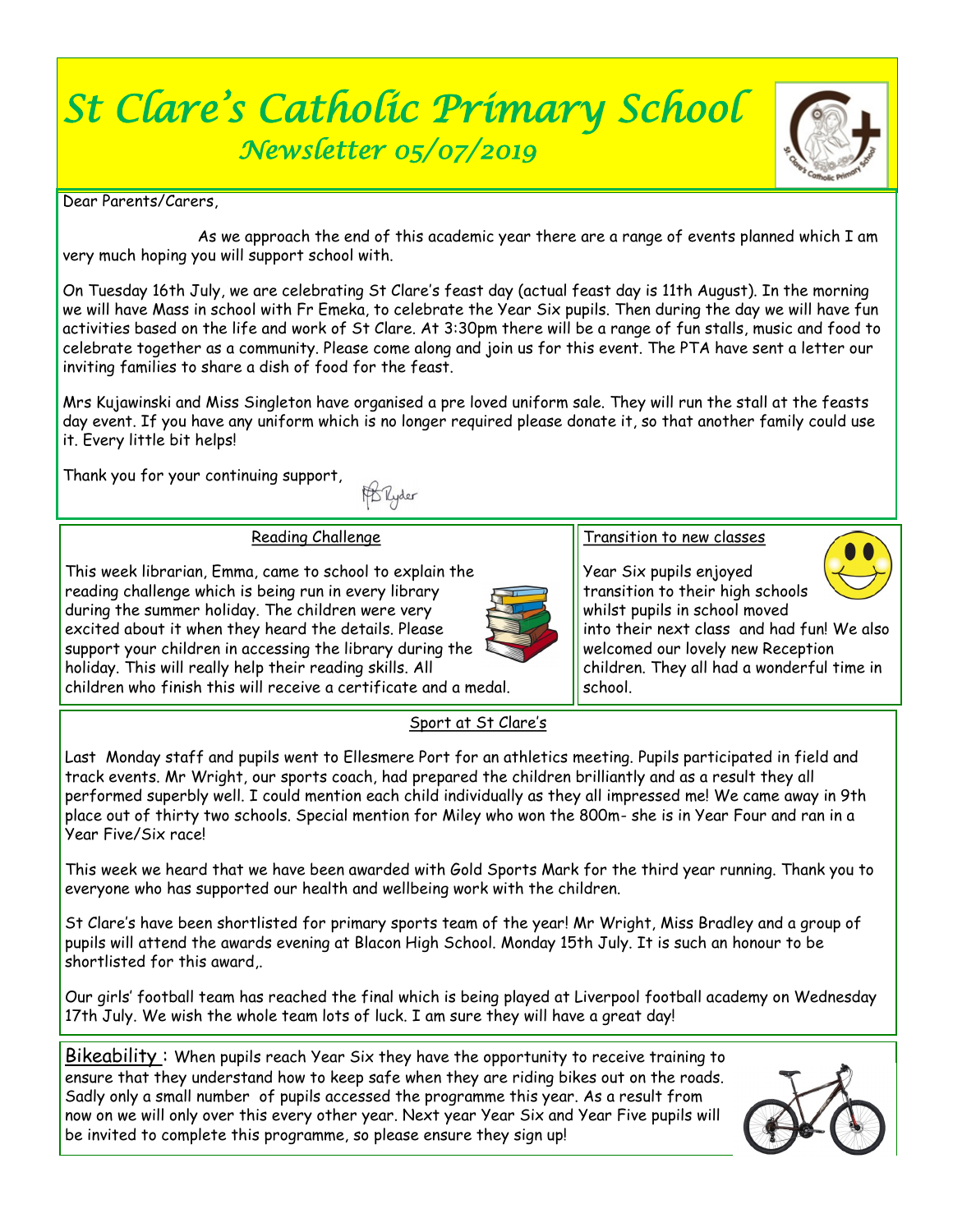# *St Clare's Catholic Primary School Newsletter 05/07/2019*



Dear Parents/Carers

 As we approach the end of this academic year there are a range of events planned which I am very much hoping you will support school with.

On Tuesday 16th July, we are celebrating St Clare's feast day (actual feast day is 11th August). In the morning we will have Mass in school with Fr Emeka, to celebrate the Year Six pupils. Then during the day we will have fun activities based on the life and work of St Clare. At 3:30pm there will be a range of fun stalls, music and food to celebrate together as a community. Please come along and join us for this event. The PTA have sent a letter our inviting families to share a dish of food for the feast.

Mrs Kujawinski and Miss Singleton have organised a pre loved uniform sale. They will run the stall at the feasts day event. If you have any uniform which is no longer required please donate it, so that another family could use it. Every little bit helps!

Thank you for your continuing support,

FB Ryder

#### Reading Challenge

This week librarian, Emma, came to school to explain the reading challenge which is being run in every library during the summer holiday. The children were very excited about it when they heard the details. Please support your children in accessing the library during the holiday. This will really help their reading skills. All children who finish this will receive a certificate and a medal.



#### Transition to new classes

Year Six pupils enjoyed transition to their high schools whilst pupils in school moved



into their next class and had fun! We also welcomed our lovely new Reception children. They all had a wonderful time in school.

#### Sport at St Clare's

Last Monday staff and pupils went to Ellesmere Port for an athletics meeting. Pupils participated in field and track events. Mr Wright, our sports coach, had prepared the children brilliantly and as a result they all performed superbly well. I could mention each child individually as they all impressed me! We came away in 9th place out of thirty two schools. Special mention for Miley who won the 800m- she is in Year Four and ran in a Year Five/Six race!

This week we heard that we have been awarded with Gold Sports Mark for the third year running. Thank you to everyone who has supported our health and wellbeing work with the children.

St Clare's have been shortlisted for primary sports team of the year! Mr Wright, Miss Bradley and a group of pupils will attend the awards evening at Blacon High School. Monday 15th July. It is such an honour to be shortlisted for this award,.

Our girls' football team has reached the final which is being played at Liverpool football academy on Wednesday 17th July. We wish the whole team lots of luck. I am sure they will have a great day!

Bikeability : When pupils reach Year Six they have the opportunity to receive training to ensure that they understand how to keep safe when they are riding bikes out on the roads. Sadly only a small number of pupils accessed the programme this year. As a result from now on we will only over this every other year. Next year Year Six and Year Five pupils will be invited to complete this programme, so please ensure they sign up!